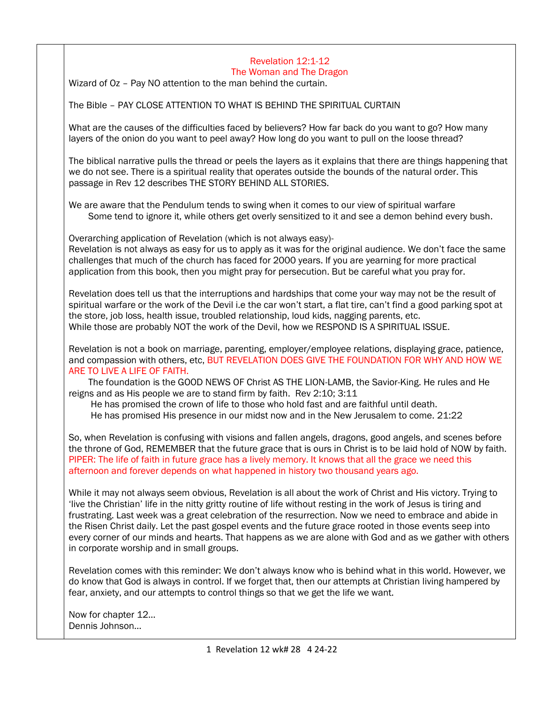## Revelation 12:1-12 The Woman and The Dragon

Wizard of Oz – Pay NO attention to the man behind the curtain.

The Bible – PAY CLOSE ATTENTION TO WHAT IS BEHIND THE SPIRITUAL CURTAIN

What are the causes of the difficulties faced by believers? How far back do you want to go? How many layers of the onion do you want to peel away? How long do you want to pull on the loose thread?

The biblical narrative pulls the thread or peels the layers as it explains that there are things happening that we do not see. There is a spiritual reality that operates outside the bounds of the natural order. This passage in Rev 12 describes THE STORY BEHIND ALL STORIES.

We are aware that the Pendulum tends to swing when it comes to our view of spiritual warfare Some tend to ignore it, while others get overly sensitized to it and see a demon behind every bush.

Overarching application of Revelation (which is not always easy)-

Revelation is not always as easy for us to apply as it was for the original audience. We don't face the same challenges that much of the church has faced for 2000 years. If you are yearning for more practical application from this book, then you might pray for persecution. But be careful what you pray for.

Revelation does tell us that the interruptions and hardships that come your way may not be the result of spiritual warfare or the work of the Devil i.e the car won't start, a flat tire, can't find a good parking spot at the store, job loss, health issue, troubled relationship, loud kids, nagging parents, etc. While those are probably NOT the work of the Devil, how we RESPOND IS A SPIRITUAL ISSUE.

Revelation is not a book on marriage, parenting, employer/employee relations, displaying grace, patience, and compassion with others, etc, BUT REVELATION DOES GIVE THE FOUNDATION FOR WHY AND HOW WE ARE TO LIVE A LIFE OF FAITH.

 The foundation is the GOOD NEWS OF Christ AS THE LION-LAMB, the Savior-King. He rules and He reigns and as His people we are to stand firm by faith. Rev 2:10; 3:11

He has promised the crown of life to those who hold fast and are faithful until death.

He has promised His presence in our midst now and in the New Jerusalem to come. 21:22

So, when Revelation is confusing with visions and fallen angels, dragons, good angels, and scenes before the throne of God, REMEMBER that the future grace that is ours in Christ is to be laid hold of NOW by faith. PIPER: The life of faith in future grace has a lively memory. It knows that all the grace we need this afternoon and forever depends on what happened in history two thousand years ago.

While it may not always seem obvious, Revelation is all about the work of Christ and His victory. Trying to 'live the Christian' life in the nitty gritty routine of life without resting in the work of Jesus is tiring and frustrating. Last week was a great celebration of the resurrection. Now we need to embrace and abide in the Risen Christ daily. Let the past gospel events and the future grace rooted in those events seep into every corner of our minds and hearts. That happens as we are alone with God and as we gather with others in corporate worship and in small groups.

Revelation comes with this reminder: We don't always know who is behind what in this world. However, we do know that God is always in control. If we forget that, then our attempts at Christian living hampered by fear, anxiety, and our attempts to control things so that we get the life we want.

Now for chapter 12… Dennis Johnson…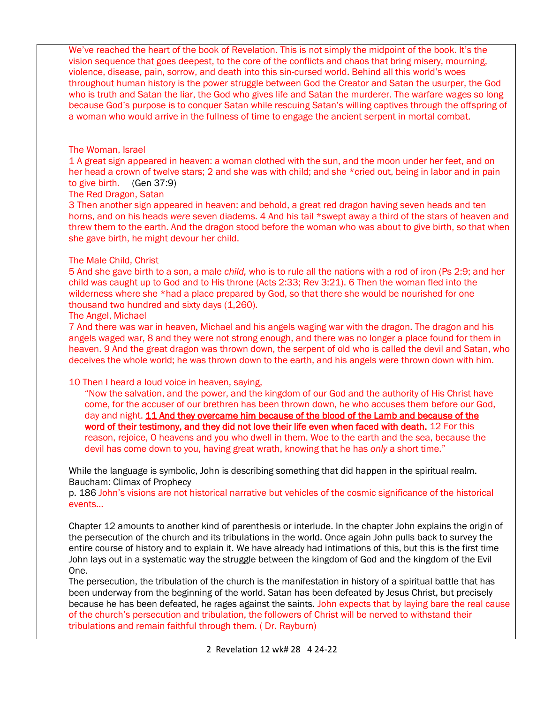| We've reached the heart of the book of Revelation. This is not simply the midpoint of the book. It's the<br>vision sequence that goes deepest, to the core of the conflicts and chaos that bring misery, mourning,<br>violence, disease, pain, sorrow, and death into this sin-cursed world. Behind all this world's woes<br>throughout human history is the power struggle between God the Creator and Satan the usurper, the God<br>who is truth and Satan the liar, the God who gives life and Satan the murderer. The warfare wages so long<br>because God's purpose is to conquer Satan while rescuing Satan's willing captives through the offspring of<br>a woman who would arrive in the fullness of time to engage the ancient serpent in mortal combat. |
|-------------------------------------------------------------------------------------------------------------------------------------------------------------------------------------------------------------------------------------------------------------------------------------------------------------------------------------------------------------------------------------------------------------------------------------------------------------------------------------------------------------------------------------------------------------------------------------------------------------------------------------------------------------------------------------------------------------------------------------------------------------------|
| The Woman, Israel<br>1 A great sign appeared in heaven: a woman clothed with the sun, and the moon under her feet, and on<br>her head a crown of twelve stars; 2 and she was with child; and she *cried out, being in labor and in pain<br>to give birth. (Gen 37:9)<br>The Red Dragon, Satan                                                                                                                                                                                                                                                                                                                                                                                                                                                                     |
| 3 Then another sign appeared in heaven: and behold, a great red dragon having seven heads and ten<br>horns, and on his heads were seven diadems. 4 And his tail *swept away a third of the stars of heaven and<br>threw them to the earth. And the dragon stood before the woman who was about to give birth, so that when<br>she gave birth, he might devour her child.                                                                                                                                                                                                                                                                                                                                                                                          |
| The Male Child, Christ<br>5 And she gave birth to a son, a male child, who is to rule all the nations with a rod of iron (Ps 2:9; and her<br>child was caught up to God and to His throne (Acts 2:33; Rev 3:21). 6 Then the woman fled into the<br>wilderness where she *had a place prepared by God, so that there she would be nourished for one<br>thousand two hundred and sixty days (1,260).<br>The Angel, Michael                                                                                                                                                                                                                                                                                                                                          |
| 7 And there was war in heaven, Michael and his angels waging war with the dragon. The dragon and his<br>angels waged war, 8 and they were not strong enough, and there was no longer a place found for them in<br>heaven. 9 And the great dragon was thrown down, the serpent of old who is called the devil and Satan, who<br>deceives the whole world; he was thrown down to the earth, and his angels were thrown down with him.                                                                                                                                                                                                                                                                                                                               |
| 10 Then I heard a loud voice in heaven, saying,<br>"Now the salvation, and the power, and the kingdom of our God and the authority of His Christ have<br>come, for the accuser of our brethren has been thrown down, he who accuses them before our God,<br>day and night. 11 And they overcame him because of the blood of the Lamb and because of the<br>word of their testimony, and they did not love their life even when faced with death. 12 For this<br>reason, rejoice, O heavens and you who dwell in them. Woe to the earth and the sea, because the<br>devil has come down to you, having great wrath, knowing that he has only a short time."                                                                                                        |
| While the language is symbolic, John is describing something that did happen in the spiritual realm.<br>Baucham: Climax of Prophecy<br>p. 186 John's visions are not historical narrative but vehicles of the cosmic significance of the historical<br>events                                                                                                                                                                                                                                                                                                                                                                                                                                                                                                     |
| Chapter 12 amounts to another kind of parenthesis or interlude. In the chapter John explains the origin of<br>the persecution of the church and its tribulations in the world. Once again John pulls back to survey the<br>entire course of history and to explain it. We have already had intimations of this, but this is the first time<br>John lays out in a systematic way the struggle between the kingdom of God and the kingdom of the Evil<br>One.                                                                                                                                                                                                                                                                                                       |
| The persecution, the tribulation of the church is the manifestation in history of a spiritual battle that has<br>been underway from the beginning of the world. Satan has been defeated by Jesus Christ, but precisely<br>because he has been defeated, he rages against the saints. John expects that by laying bare the real cause<br>of the church's persecution and tribulation, the followers of Christ will be nerved to withstand their<br>tribulations and remain faithful through them. (Dr. Rayburn)                                                                                                                                                                                                                                                    |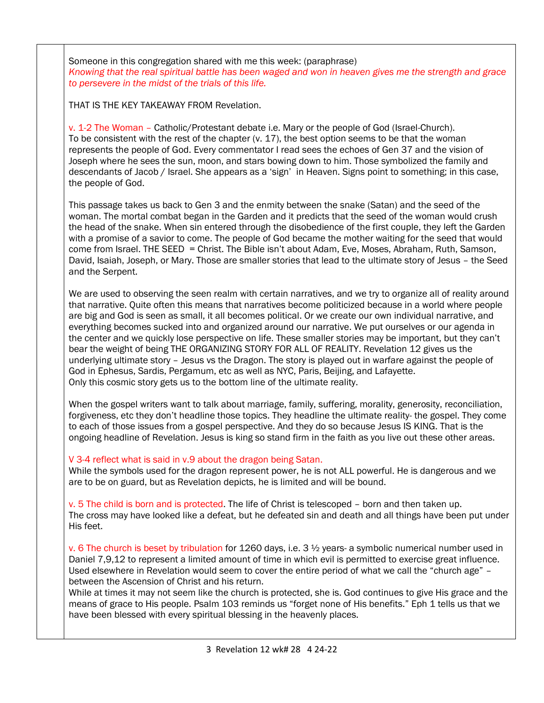Someone in this congregation shared with me this week: (paraphrase) *Knowing that the real spiritual battle has been waged and won in heaven gives me the strength and grace to persevere in the midst of the trials of this life.* 

THAT IS THE KEY TAKEAWAY FROM Revelation.

v. 1-2 The Woman – Catholic/Protestant debate i.e. Mary or the people of God (Israel-Church). To be consistent with the rest of the chapter (v. 17), the best option seems to be that the woman represents the people of God. Every commentator I read sees the echoes of Gen 37 and the vision of Joseph where he sees the sun, moon, and stars bowing down to him. Those symbolized the family and descendants of Jacob / Israel. She appears as a 'sign' in Heaven. Signs point to something; in this case, the people of God.

This passage takes us back to Gen 3 and the enmity between the snake (Satan) and the seed of the woman. The mortal combat began in the Garden and it predicts that the seed of the woman would crush the head of the snake. When sin entered through the disobedience of the first couple, they left the Garden with a promise of a savior to come. The people of God became the mother waiting for the seed that would come from Israel. THE SEED = Christ. The Bible isn't about Adam, Eve, Moses, Abraham, Ruth, Samson, David, Isaiah, Joseph, or Mary. Those are smaller stories that lead to the ultimate story of Jesus – the Seed and the Serpent.

We are used to observing the seen realm with certain narratives, and we try to organize all of reality around that narrative. Quite often this means that narratives become politicized because in a world where people are big and God is seen as small, it all becomes political. Or we create our own individual narrative, and everything becomes sucked into and organized around our narrative. We put ourselves or our agenda in the center and we quickly lose perspective on life. These smaller stories may be important, but they can't bear the weight of being THE ORGANIZING STORY FOR ALL OF REALITY. Revelation 12 gives us the underlying ultimate story – Jesus vs the Dragon. The story is played out in warfare against the people of God in Ephesus, Sardis, Pergamum, etc as well as NYC, Paris, Beijing, and Lafayette. Only this cosmic story gets us to the bottom line of the ultimate reality.

When the gospel writers want to talk about marriage, family, suffering, morality, generosity, reconciliation, forgiveness, etc they don't headline those topics. They headline the ultimate reality- the gospel. They come to each of those issues from a gospel perspective. And they do so because Jesus IS KING. That is the ongoing headline of Revelation. Jesus is king so stand firm in the faith as you live out these other areas.

## V 3-4 reflect what is said in v.9 about the dragon being Satan.

While the symbols used for the dragon represent power, he is not ALL powerful. He is dangerous and we are to be on guard, but as Revelation depicts, he is limited and will be bound.

v. 5 The child is born and is protected. The life of Christ is telescoped – born and then taken up. The cross may have looked like a defeat, but he defeated sin and death and all things have been put under His feet.

v. 6 The church is beset by tribulation for 1260 days, i.e. 3 ½ years- a symbolic numerical number used in Daniel 7,9,12 to represent a limited amount of time in which evil is permitted to exercise great influence. Used elsewhere in Revelation would seem to cover the entire period of what we call the "church age" – between the Ascension of Christ and his return.

While at times it may not seem like the church is protected, she is. God continues to give His grace and the means of grace to His people. Psalm 103 reminds us "forget none of His benefits." Eph 1 tells us that we have been blessed with every spiritual blessing in the heavenly places.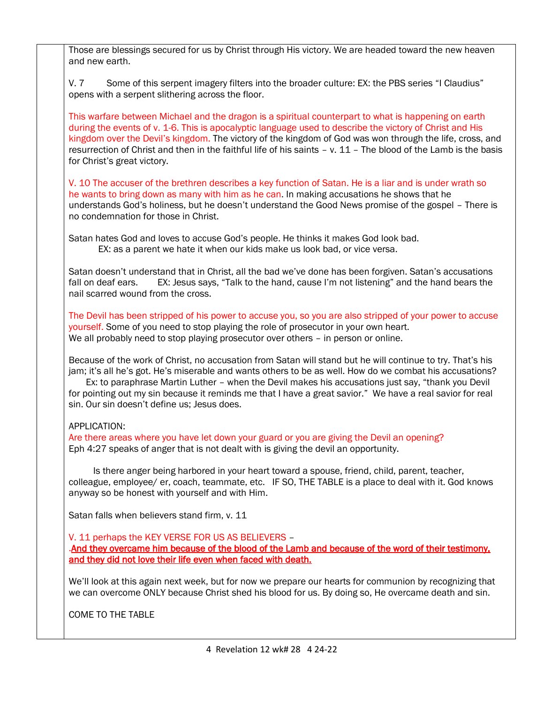Those are blessings secured for us by Christ through His victory. We are headed toward the new heaven and new earth.

V. 7 Some of this serpent imagery filters into the broader culture: EX: the PBS series "I Claudius" opens with a serpent slithering across the floor.

This warfare between Michael and the dragon is a spiritual counterpart to what is happening on earth during the events of v. 1-6. This is apocalyptic language used to describe the victory of Christ and His kingdom over the Devil's kingdom. The victory of the kingdom of God was won through the life, cross, and resurrection of Christ and then in the faithful life of his saints – v. 11 – The blood of the Lamb is the basis for Christ's great victory.

V. 10 The accuser of the brethren describes a key function of Satan. He is a liar and is under wrath so he wants to bring down as many with him as he can. In making accusations he shows that he understands God's holiness, but he doesn't understand the Good News promise of the gospel – There is no condemnation for those in Christ.

Satan hates God and loves to accuse God's people. He thinks it makes God look bad. EX: as a parent we hate it when our kids make us look bad, or vice versa.

Satan doesn't understand that in Christ, all the bad we've done has been forgiven. Satan's accusations fall on deaf ears. EX: Jesus says, "Talk to the hand, cause I'm not listening" and the hand bears the nail scarred wound from the cross.

The Devil has been stripped of his power to accuse you, so you are also stripped of your power to accuse yourself. Some of you need to stop playing the role of prosecutor in your own heart. We all probably need to stop playing prosecutor over others – in person or online.

Because of the work of Christ, no accusation from Satan will stand but he will continue to try. That's his jam; it's all he's got. He's miserable and wants others to be as well. How do we combat his accusations?

 Ex: to paraphrase Martin Luther – when the Devil makes his accusations just say, "thank you Devil for pointing out my sin because it reminds me that I have a great savior." We have a real savior for real sin. Our sin doesn't define us; Jesus does.

## APPLICATION:

Are there areas where you have let down your guard or you are giving the Devil an opening? Eph 4:27 speaks of anger that is not dealt with is giving the devil an opportunity.

 Is there anger being harbored in your heart toward a spouse, friend, child, parent, teacher, colleague, employee/ er, coach, teammate, etc. IF SO, THE TABLE is a place to deal with it. God knows anyway so be honest with yourself and with Him.

Satan falls when believers stand firm, v. 11

V. 11 perhaps the KEY VERSE FOR US AS BELIEVERS –

.And they overcame him because of the blood of the Lamb and because of the word of their testimony, and they did not love their life even when faced with death.

We'll look at this again next week, but for now we prepare our hearts for communion by recognizing that we can overcome ONLY because Christ shed his blood for us. By doing so, He overcame death and sin.

COME TO THE TABLE